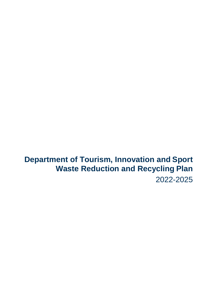**Department of Tourism, Innovation and Sport Waste Reduction and Recycling Plan** 2022-2025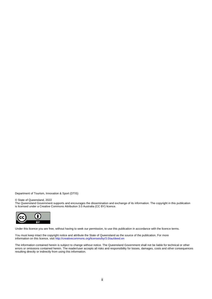Department of Tourism, Innovation & Sport (DTIS)

#### © State of Queensland, 2022

The Queensland Government supports and encourages the dissemination and exchange of its information. The copyright in this publication is licensed under a Creative Commons Attribution 3.0 Australia (CC BY) licence.



Under this licence you are free, without having to seek our permission, to use this publication in accordance with the licence terms.

You must keep intact the copyright notice and attribute the State of Queensland as the source of the publication. For more information on this licence, visi[t http://creativecommons.org/licenses/by/3.0/au/deed.en](http://creativecommons.org/licenses/by/3.0/au/deed.en)

The information contained herein is subject to change without notice. The Queensland Government shall not be liable for technical or other errors or omissions contained herein. The reader/user accepts all risks and responsibility for losses, damages, costs and other consequences resulting directly or indirectly from using this information.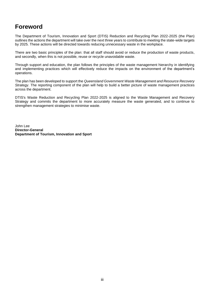# <span id="page-2-0"></span>**Foreword**

The Department of Tourism, Innovation and Sport (DTIS) Reduction and Recycling Plan 2022-2025 (the Plan) outlines the actions the department will take over the next three years to contribute to meeting the state-wide targets by 2025. These actions will be directed towards reducing unnecessary waste in the workplace.

There are two basic principles of the plan: that all staff should avoid or reduce the production of waste products, and secondly, when this is not possible, reuse or recycle unavoidable waste.

Through support and education, the plan follows the principles of the waste management hierarchy in identifying and implementing practices which will effectively reduce the impacts on the environment of the department's operations.

The plan has been developed to support the *Queensland Government Waste Management and Resource Recovery Strategy*. The reporting component of the plan will help to build a better picture of waste management practices across the department.

DTIS's Waste Reduction and Recycling Plan 2022-2025 is aligned to the Waste Management and Recovery Strategy and commits the department to more accurately measure the waste generated, and to continue to strengthen management strategies to minimise waste.

John Lee **Director-General Department of Tourism, Innovation and Sport**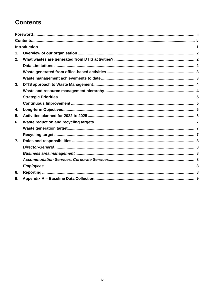# **Contents**

| 1. |  |
|----|--|
| 2. |  |
|    |  |
|    |  |
|    |  |
| 3. |  |
|    |  |
|    |  |
|    |  |
| 4. |  |
| 5. |  |
| 6. |  |
|    |  |
|    |  |
| 7. |  |
|    |  |
|    |  |
|    |  |
|    |  |
| 8. |  |
| 9. |  |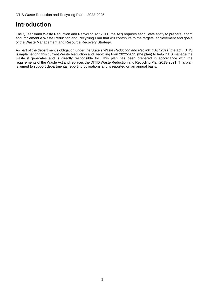## <span id="page-4-0"></span>**Introduction**

The Queensland Waste Reduction and Recycling Act 2011 (the Act) requires each State entity to prepare, adopt and implement a Waste Reduction and Recycling Plan that will contribute to the targets, achievement and goals of the Waste Management and Resource Recovery Strategy.

As part of the department's obligation under the State's *Waste Reduction and Recycling Act 2011* (the act), DTIS is implementing this current Waste Reduction and Recycling Plan 2022-2025 (the plan) to help DTIS manage the waste it generates and is directly responsible for. This plan has been prepared in accordance with the requirements of the Waste Act and replaces the DITID Waste Reduction and Recycling Plan 2018-2021. This plan is aimed to support departmental reporting obligations and is reported on an annual basis.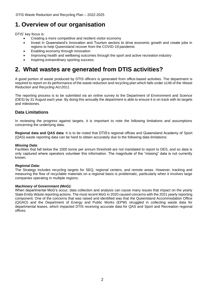# <span id="page-5-0"></span>**1. Overview of our organisation**

DTIS' key focus is:

- Creating a more competitive and resilient visitor economy
- Invest in Queensland's Innovation and Tourism sectors to drive economic growth and create jobs in regions to help Queensland recover from the COVID-19 pandemic
- Enabling economy through innovation
- Improving health and wellbeing outcomes through the sport and active recreation industry
- Inspiring extraordinary sporting success.

# <span id="page-5-1"></span>**2. What wastes are generated from DTIS activities?**

A good portion of waste produced by DTIS officers is generated from office-based activities. The department is required to report on its performance of the waste reduction and recycling plan which falls under s146 of the *Waste Reduction and Recycling Act 2011*.

The reporting process is to be submitted via an online survey to the Department of Environment and Science (DES) by 31 August each year. By doing this annually the department is able to ensure it is on track with its targets and milestones.

## <span id="page-5-2"></span>**Data Limitations**

In reviewing the progress against targets, it is important to note the following limitations and assumptions concerning the underlying data.

**Regional data and QAS data**: It is to be noted that DTIS's regional offices and Queensland Academy of Sport (QAS) waste reporting data can be hard to obtain accurately due to the following data limitations:

### *Missing Data*:

Facilities that fall below the 1000 tonne per annum threshold are not mandated to report to DES, and so data is only captured where operators volunteer this information. The magnitude of the "missing" data is not currently known.

### *Regional Data:*

The Strategy includes recycling targets for SEQ, regional centers, and remote areas. However, tracking and measuring the flow of recyclable materials on a regional basis is problematic, particularly when it involves large companies operating in multiple regions.

### *Machinery of Government (MoG):*

When departmental MoG's occur, data collection and analysis can cause many issues that impact on the yearly State Entity Waste reporting actions. The most recent MoG in 2020 caused concerns with the 2021 yearly reporting component. One of the concerns that was raised and identified was that the Queensland Accommodation Office (QGAO) and the Department of Energy and Public Works (EPW) struggled in collecting waste data for departmental leases, which impacted DTIS receiving accurate data for QAS and Sport and Recreation regional offices.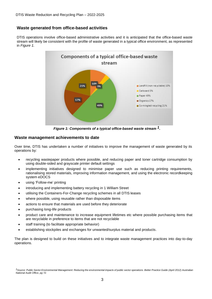## <span id="page-6-0"></span>**Waste generated from office-based activities**

DTIS operations involve office-based administrative activities and it is anticipated that the office-based waste stream will likely be consistent with the profile of waste generated in a typical office environment, as represented in *Figure 1.*



*Figure 1: Components of a typical office-based waste stream 1.*

### <span id="page-6-1"></span>**Waste management achievements to date**

Over time, DTIS has undertaken a number of initiatives to improve the management of waste generated by its operations by:

- recycling wastepaper products where possible, and reducing paper and toner cartridge consumption by using double-sided and grayscale printer default settings
- implementing initiatives designed to minimise paper use such as reducing printing requirements, rationalising stored materials, improving information management, and using the electronic recordkeeping system eDOCS
- using 'Follow-me' printing
- introducing and implementing battery recycling in 1 William Street
- utilising the Containers-For-Change recycling schemes in all DTIS leases
- where possible, using reusable rather than disposable items
- actions to ensure that materials are used before they deteriorate
- purchasing long-life products
- product care and maintenance to increase equipment lifetimes etc where possible purchasing items that are recyclable in preference to items that are not recyclable
- staff training (to facilitate appropriate behavior)
- establishing stockpiles and exchanges for unwanted/surplus material and products.

The plan is designed to build on these initiatives and to integrate waste management practices into day-to-day operations.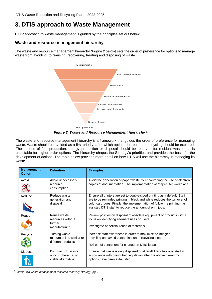# <span id="page-7-0"></span>**3. DTIS approach to Waste Management**

DTIS' approach to waste management is guided by the principles set out below.

## <span id="page-7-1"></span>**Waste and resource management hierarchy**

The waste and resource management hierarchy *(Figure 2 below)* sets the order of preference for options to manage waste from avoiding, to re-using, recovering, treating and disposing of waste.



*Figure 2: Waste and Resource Management Hierarchy* 2.

The waste and resource management hierarchy is a framework that guides the order of preference for managing waste. Waste should be avoided as a first priority, after which options for reuse and recycling should be explored. The options of fuel production, energy production or disposal should be reserved for residual waste that is unsuitable for higher order options. The hierarchy shapes the Strategy's priorities and provides the basis for the development of actions. The table below provides more detail on how DTIS will use the hierarchy in managing its waste.

| <b>Management</b><br><b>Option</b> | <b>Definition</b>                                                | <b>Examples</b>                                                                                                                                                                                                                                                                          |
|------------------------------------|------------------------------------------------------------------|------------------------------------------------------------------------------------------------------------------------------------------------------------------------------------------------------------------------------------------------------------------------------------------|
| Avoid                              | Avoid unnecessary<br>resource<br>consumption                     | Avoid the generation of paper waste by encouraging the use of electronic<br>copies of documentation. The implementation of "paper lite" workplace.                                                                                                                                       |
| Reduce                             | Reduce waste<br>generation and<br>disposal                       | Ensure all printers are set to double-sided printing as a default. Staff<br>are to be reminded printing in black and white reduces the turnover of<br>color cartridges. Finally, the implementation of follow me printing has<br>assisted DTIS staff to reduce the amount of print jobs. |
| Reuse                              | Reuse waste<br>resources without<br>further<br>manufacturing     | Review policies on disposal of obsolete equipment or products with a<br>focus on identifying alternate uses or users.<br>Investigate beneficial reuse of materials                                                                                                                       |
| Recycle                            | Turning waste<br>resources into similar or<br>different products | Increase staff awareness in order to maximise co-mingled<br>recycling and avoid contamination of recycling bins.<br>Roll out of containers for change on DTIS leases.                                                                                                                    |
| Disposal                           | Dispose of waste<br>only if there is no<br>viable alternative    | Ensure that waste is only disposed of at landfill facilities operated in<br>accordance with prescribed legislation after the above hierarchy<br>options have been exhausted.                                                                                                             |

*<sup>2</sup>Source: qld-waste-management-resource-recovery-strategy, pg8.*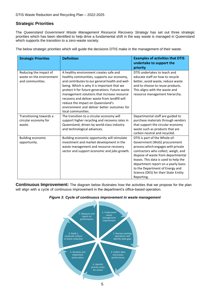## <span id="page-8-0"></span>**Strategic Priorities**

The Queensland Government Waste Management Resource Recovery Strategy has set out three strategic priorities which has been identified to help drive a fundamental shift in the way waste is managed in Queensland which supports the transition to a zero-waste society.

The below strategic priorities which will guide the decisions DTIS make in the management of their waste.

| <b>Strategic Priorities</b>                                            | <b>Definition</b>                                                                                                                                                                                                                                                                                                                                                                                                                                   | <b>Examples of activities that DTIS</b><br>undertake to support the<br>priority                                                                                                                                                                                                                                                                           |
|------------------------------------------------------------------------|-----------------------------------------------------------------------------------------------------------------------------------------------------------------------------------------------------------------------------------------------------------------------------------------------------------------------------------------------------------------------------------------------------------------------------------------------------|-----------------------------------------------------------------------------------------------------------------------------------------------------------------------------------------------------------------------------------------------------------------------------------------------------------------------------------------------------------|
| Reducing the impact of<br>waste on the environment<br>and communities. | A healthy environment creates safe and<br>healthy communities, supports our economy,<br>and contributes to our general health and well-<br>being. Which is why it is important that we<br>protect it for future generations. Future waste<br>management solutions that increase resource<br>recovery and deliver waste from landfill will<br>reduce the impact on Queensland's<br>environment and deliver better outcomes for<br>local communities. | DTIS undertakes to teach and<br>educate staff on how to recycle<br>better, avoid waste, reduce waste<br>and to choose to reuse products.<br>This aligns with the waste and<br>resource management hierarchy.                                                                                                                                              |
| Transitioning towards a<br>circular economy for<br>waste.              | The transition to a circular economy will<br>support higher recycling and recovery rates in<br>Queensland, driven by world-class industry<br>and technological advances.                                                                                                                                                                                                                                                                            | Departmental staff are guided to<br>purchase materials through vendors<br>that support the circular economy<br>waste such as products that are<br>carbon neutral and recycled.                                                                                                                                                                            |
| <b>Building economic</b><br>opportunity.                               | Building economic opportunity will stimulate<br>investment and market development in the<br>waste management and resource recovery<br>sector and support economic and jobs growth.                                                                                                                                                                                                                                                                  | DTIS is part of the Whole-of-<br>Government (WoG) procurement<br>process which engages with private<br>contractors who collect, weigh, and<br>dispose of waste from departmental<br>leases. This data is used to help the<br>department report on a yearly basis<br>to the Department of Energy and<br>Science (DES) for their State Entity<br>Reporting. |

<span id="page-8-1"></span>**Continuous Improvement:** The diagram below illustrates how the activities that we propose for the plan will align with a cycle of continuous improvement in the department's office-based operation.



#### *Figure 3: Cycle of continuous improvement in waste management*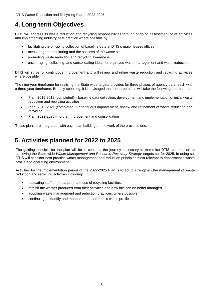DTIS Waste Reduction and Recycling Plan – 2022-2025

# <span id="page-9-0"></span>**4. Long-term Objectives**

DTIS will address its waste reduction and recycling responsibilities through ongoing assessment of its activities and implementing industry best-practice where possible by:

- facilitating the on-going collection of baseline data at DTIS's major leased offices
- measuring the monitoring and the success of the waste plan
- promoting waste reduction and recycling awareness
- encouraging, collecting, and consolidating ideas for improved waste management and waste reduction.

DTIS will strive for continuous improvement and will review and refine waste reduction and recycling activities where possible.

The nine-year timeframe for realising the State-wide targets provides for three phases of agency data, each with a three-year timeframe. Broadly speaking, it is envisaged that the three plans will take the following approaches:

- Plan: 2015-2018 (completed) baseline data collection, development and implementation of initial waste reduction and recycling activities
- Plan: 2018-2021 (completed) continuous improvement, review and refinement of waste reduction and recycling
- Plan: 2022-2025 further improvement and consolidation

These plans are integrated, with each plan building on the work of the previous one.

# <span id="page-9-1"></span>**5. Activities planned for 2022 to 2025**

The guiding principle for the plan will be to continue the journey necessary to maximise DTIS' contribution to achieving the State-wide *Waste Management and Resource Recovery Strategy* targets set for 2025. In doing so, DTIS will consider best practice waste management and reduction principles most relevant to department's waste profile and operating environment.

Activities for the implementation period of the 2022-2025 Plan is to act to strengthen the management of waste reduction and recycling activities including:

- educating staff on the appropriate use of recycling facilities.
- rethink the wastes produced from their activities and how this can be better managed
- adopting waste management and reduction practices, where possible
- continuing to identify and monitor the department's waste profile.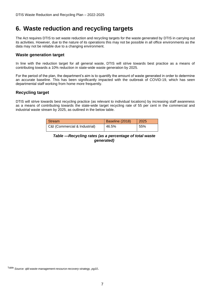# <span id="page-10-0"></span>**6. Waste reduction and recycling targets**

The Act requires DTIS to set waste reduction and recycling targets for the waste generated by DTIS in carrying out its activities. However, due to the nature of its operations this may not be possible in all office environments as the data may not be reliable due to a changing environment.

### <span id="page-10-1"></span>**Waste generation target**

In line with the reduction target for all general waste, DTIS will strive towards best practice as a means of contributing towards a 10% reduction in state-wide waste generation by 2025.

For the period of the plan, the department's aim is to quantify the amount of waste generated in order to determine an accurate baseline. This has been significantly impacted with the outbreak of COVID-19, which has seen departmental staff working from home more frequently.

## <span id="page-10-2"></span>**Recycling target**

DTIS will strive towards best recycling practice (as relevant to individual locations) by increasing staff awareness as a means of contributing towards the state-wide target recycling rate of 55 per cent in the commercial and industrial waste stream by 2025, as outlined in the below table.

| Stream                        | Baseline (2018) | 2025 |
|-------------------------------|-----------------|------|
| C&I (Commercial & Industrial) | 46.5%           | 55%  |

*Table —Recycling rates (as a percentage of total waste generated)*

Table *Source: qld-waste-management-resource-recovery-strategy, pg10*.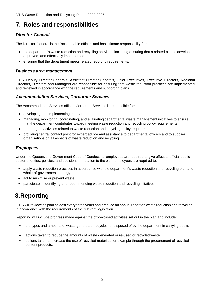DTIS Waste Reduction and Recycling Plan – 2022-2025

# <span id="page-11-0"></span>**7. Roles and responsibilities**

## <span id="page-11-1"></span>*Director-General*

The Director-General is the "accountable officer" and has ultimate responsibility for:

- the department's waste reduction and recycling activities, including ensuring that a related plan is developed, approved, and effectively implemented
- ensuring that the department meets related reporting requirements.

## <span id="page-11-2"></span>*Business area management*

DTIS' Deputy Director-Generals, Assistant Director-Generals, Chief Executives, Executive Directors, Regional Directors, Directors and Managers are responsible for ensuring that waste reduction practices are implemented and reviewed in accordance with the requirements and supporting plans.

## <span id="page-11-3"></span>*Accommodation Services, Corporate Services*

The Accommodation Services officer, Corporate Services is responsible for:

- developing and implementing the plan
- managing, monitoring, coordinating, and evaluating departmental waste management initiatives to ensure that the department contributes toward meeting waste reduction and recycling policy requirements
- reporting on activities related to waste reduction and recycling policy requirements
- providing central contact point for expert advice and assistance to departmental officers and to supplier organisations on all aspects of waste reduction and recycling.

## <span id="page-11-4"></span>*Employees*

Under the Queensland Government Code of Conduct, all employees are required to give effect to official public sector priorities, policies, and decisions. In relation to the plan, employees are required to:

- apply waste reduction practices in accordance with the department's waste reduction and recycling plan and whole-of-government strategy
- act to minimise or prevent waste
- participate in identifying and recommending waste reduction and recycling initatives.

# <span id="page-11-5"></span>**8.Reporting**

DTIS will review the plan at least every three years and produce an annual report on waste reduction and recycling in accordance with the requirements of the relevant legislation.

Reporting will include progress made against the office-based activities set out in the plan and include:

- the types and amounts of waste generated, recycled, or disposed of by the department in carrying out its operations
- actions taken to reduce the amounts of waste generated or re-used or recycled waste
- actions taken to increase the use of recycled materials for example through the procurement of recycledcontent products.